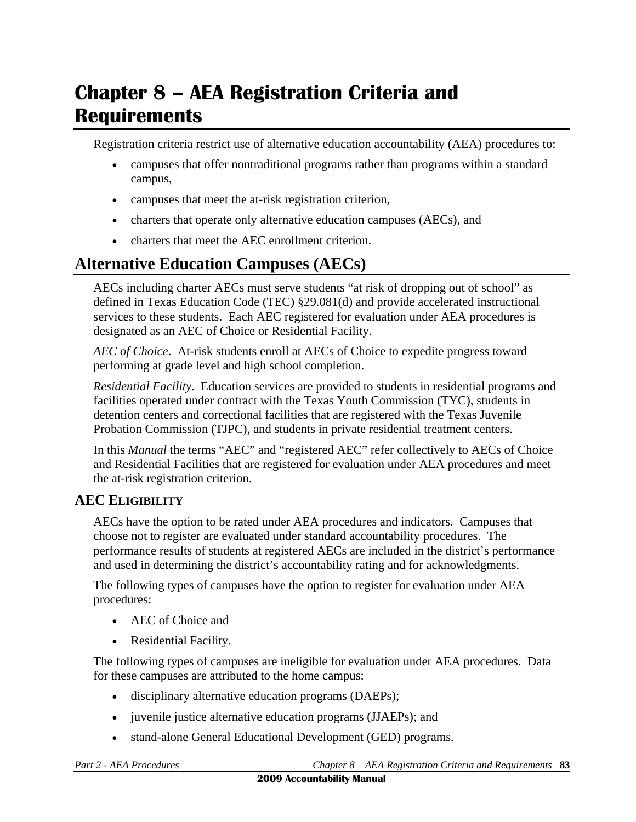# **Chapter 8 – AEA Registration Criteria and Requirements**

Registration criteria restrict use of alternative education accountability (AEA) procedures to:

- campuses that offer nontraditional programs rather than programs within a standard campus,
- campuses that meet the at-risk registration criterion,
- charters that operate only alternative education campuses (AECs), and
- charters that meet the AEC enrollment criterion.

# **Alternative Education Campuses (AECs)**

AECs including charter AECs must serve students "at risk of dropping out of school" as defined in Texas Education Code (TEC) §29.081(d) and provide accelerated instructional services to these students. Each AEC registered for evaluation under AEA procedures is designated as an AEC of Choice or Residential Facility.

*AEC of Choice*. At-risk students enroll at AECs of Choice to expedite progress toward performing at grade level and high school completion.

*Residential Facility*. Education services are provided to students in residential programs and facilities operated under contract with the Texas Youth Commission (TYC), students in detention centers and correctional facilities that are registered with the Texas Juvenile Probation Commission (TJPC), and students in private residential treatment centers.

In this *Manual* the terms "AEC" and "registered AEC" refer collectively to AECs of Choice and Residential Facilities that are registered for evaluation under AEA procedures and meet the at-risk registration criterion.

### **AEC ELIGIBILITY**

AECs have the option to be rated under AEA procedures and indicators. Campuses that choose not to register are evaluated under standard accountability procedures. The performance results of students at registered AECs are included in the district's performance and used in determining the district's accountability rating and for acknowledgments.

The following types of campuses have the option to register for evaluation under AEA procedures:

- AEC of Choice and
- Residential Facility.

The following types of campuses are ineligible for evaluation under AEA procedures. Data for these campuses are attributed to the home campus:

- disciplinary alternative education programs (DAEPs);
- juvenile justice alternative education programs (JJAEPs); and
- stand-alone General Educational Development (GED) programs.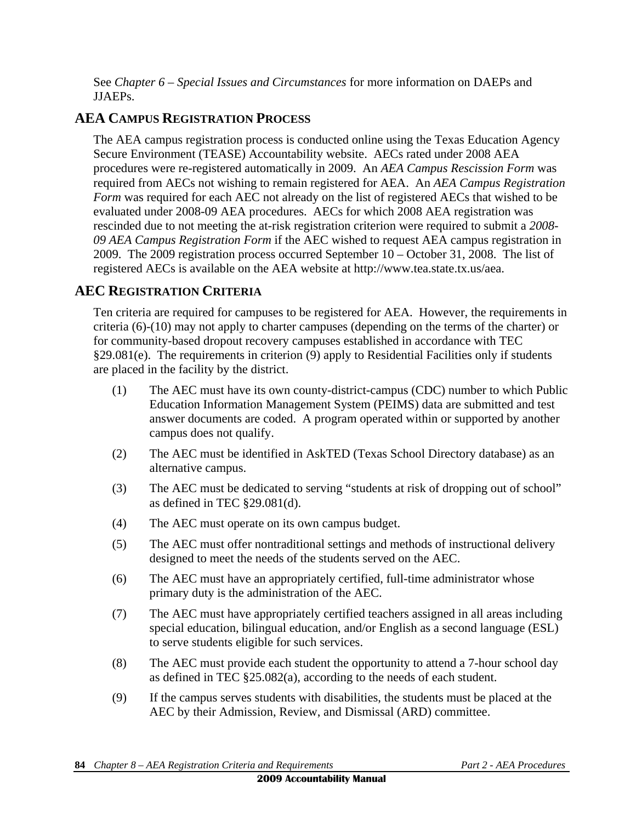See *Chapter 6 – Special Issues and Circumstances* for more information on DAEPs and JJAEPs.

# **AEA CAMPUS REGISTRATION PROCESS**

The AEA campus registration process is conducted online using the Texas Education Agency Secure Environment (TEASE) Accountability website. AECs rated under 2008 AEA procedures were re-registered automatically in 2009. An *AEA Campus Rescission Form* was required from AECs not wishing to remain registered for AEA. An *AEA Campus Registration Form* was required for each AEC not already on the list of registered AECs that wished to be evaluated under 2008-09 AEA procedures. AECs for which 2008 AEA registration was rescinded due to not meeting the at-risk registration criterion were required to submit a *2008- 09 AEA Campus Registration Form* if the AEC wished to request AEA campus registration in 2009. The 2009 registration process occurred September 10 – October 31, 2008. The list of registered AECs is available on the AEA website at http://www.tea.state.tx.us/aea.

## **AEC REGISTRATION CRITERIA**

Ten criteria are required for campuses to be registered for AEA. However, the requirements in criteria (6)-(10) may not apply to charter campuses (depending on the terms of the charter) or for community-based dropout recovery campuses established in accordance with TEC §29.081(e). The requirements in criterion (9) apply to Residential Facilities only if students are placed in the facility by the district.

- (1) The AEC must have its own county-district-campus (CDC) number to which Public Education Information Management System (PEIMS) data are submitted and test answer documents are coded. A program operated within or supported by another campus does not qualify.
- (2) The AEC must be identified in AskTED (Texas School Directory database) as an alternative campus.
- (3) The AEC must be dedicated to serving "students at risk of dropping out of school" as defined in TEC §29.081(d).
- (4) The AEC must operate on its own campus budget.
- (5) The AEC must offer nontraditional settings and methods of instructional delivery designed to meet the needs of the students served on the AEC.
- (6) The AEC must have an appropriately certified, full-time administrator whose primary duty is the administration of the AEC.
- (7) The AEC must have appropriately certified teachers assigned in all areas including special education, bilingual education, and/or English as a second language (ESL) to serve students eligible for such services.
- (8) The AEC must provide each student the opportunity to attend a 7-hour school day as defined in TEC §25.082(a), according to the needs of each student.
- (9) If the campus serves students with disabilities, the students must be placed at the AEC by their Admission, Review, and Dismissal (ARD) committee.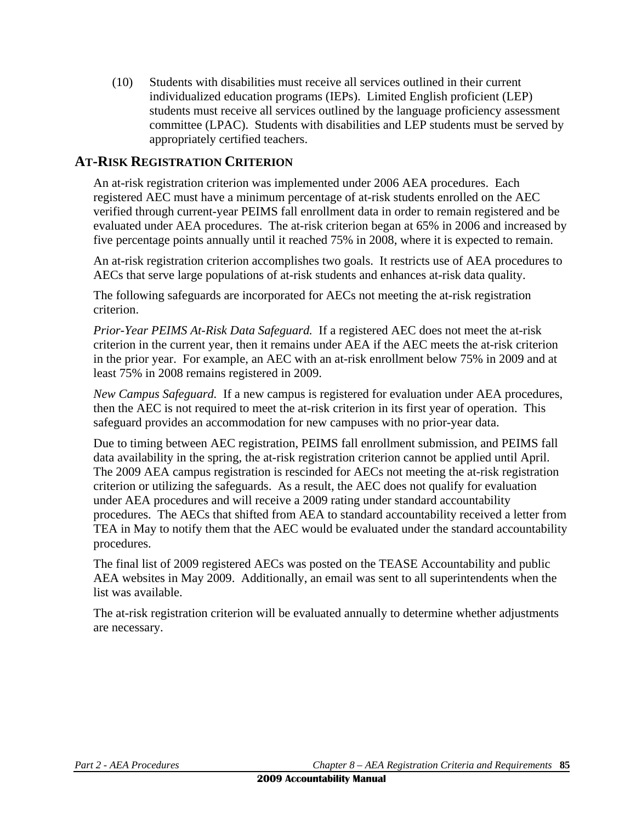(10) Students with disabilities must receive all services outlined in their current individualized education programs (IEPs). Limited English proficient (LEP) students must receive all services outlined by the language proficiency assessment committee (LPAC). Students with disabilities and LEP students must be served by appropriately certified teachers.

## **AT-RISK REGISTRATION CRITERION**

An at-risk registration criterion was implemented under 2006 AEA procedures. Each registered AEC must have a minimum percentage of at-risk students enrolled on the AEC verified through current-year PEIMS fall enrollment data in order to remain registered and be evaluated under AEA procedures. The at-risk criterion began at 65% in 2006 and increased by five percentage points annually until it reached 75% in 2008, where it is expected to remain.

An at-risk registration criterion accomplishes two goals. It restricts use of AEA procedures to AECs that serve large populations of at-risk students and enhances at-risk data quality.

The following safeguards are incorporated for AECs not meeting the at-risk registration criterion.

*Prior-Year PEIMS At-Risk Data Safeguard.* If a registered AEC does not meet the at-risk criterion in the current year, then it remains under AEA if the AEC meets the at-risk criterion in the prior year. For example, an AEC with an at-risk enrollment below 75% in 2009 and at least 75% in 2008 remains registered in 2009.

*New Campus Safeguard.* If a new campus is registered for evaluation under AEA procedures, then the AEC is not required to meet the at-risk criterion in its first year of operation. This safeguard provides an accommodation for new campuses with no prior-year data.

Due to timing between AEC registration, PEIMS fall enrollment submission, and PEIMS fall data availability in the spring, the at-risk registration criterion cannot be applied until April. The 2009 AEA campus registration is rescinded for AECs not meeting the at-risk registration criterion or utilizing the safeguards. As a result, the AEC does not qualify for evaluation under AEA procedures and will receive a 2009 rating under standard accountability procedures. The AECs that shifted from AEA to standard accountability received a letter from TEA in May to notify them that the AEC would be evaluated under the standard accountability procedures.

The final list of 2009 registered AECs was posted on the TEASE Accountability and public AEA websites in May 2009. Additionally, an email was sent to all superintendents when the list was available.

The at-risk registration criterion will be evaluated annually to determine whether adjustments are necessary.

*Part 2 - AEA Procedures Chapter 8 – AEA Registration Criteria and Requirements* **85**